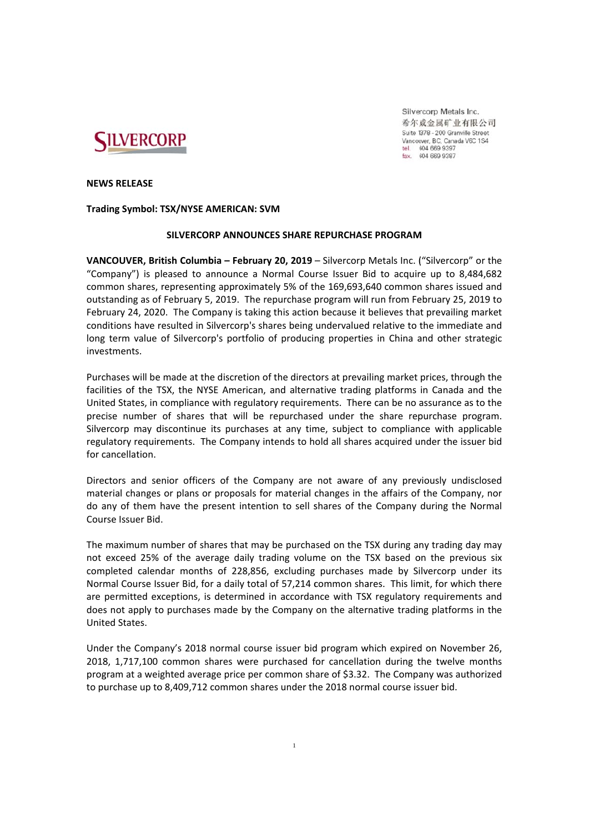

Silvercorp Metals Inc. 希尔威金属矿业有限公司 Suite 1378 - 200 Granville Street Vancouver, BC, Canada V6C 1S4<br>tel. 604 669 9397<br>fax. 604 669 9387

## **NEWS RELEASE**

## Trading Symbol: TSX/NYSE AMERICAN: SVM

# SILVERCORP ANNOUNCES SHARE REPURCHASE PROGRAM

VANCOUVER, British Columbia - February 20, 2019 - Silvercorp Metals Inc. ("Silvercorp" or the "Company") is pleased to announce a Normal Course Issuer Bid to acquire up to 8,484,682 common shares, representing approximately 5% of the 169,693,640 common shares issued and outstanding as of February 5, 2019. The repurchase program will run from February 25, 2019 to February 24, 2020. The Company is taking this action because it believes that prevailing market conditions have resulted in Silvercorp's shares being undervalued relative to the immediate and long term value of Silvercorp's portfolio of producing properties in China and other strategic investments.

Purchases will be made at the discretion of the directors at prevailing market prices, through the facilities of the TSX, the NYSE American, and alternative trading platforms in Canada and the United States, in compliance with regulatory requirements. There can be no assurance as to the precise number of shares that will be repurchased under the share repurchase program. Silvercorp may discontinue its purchases at any time, subject to compliance with applicable regulatory requirements. The Company intends to hold all shares acquired under the issuer bid for cancellation.

Directors and senior officers of the Company are not aware of any previously undisclosed material changes or plans or proposals for material changes in the affairs of the Company, nor do any of them have the present intention to sell shares of the Company during the Normal Course Issuer Bid.

The maximum number of shares that may be purchased on the TSX during any trading day may not exceed 25% of the average daily trading volume on the TSX based on the previous six completed calendar months of 228,856, excluding purchases made by Silvercorp under its Normal Course Issuer Bid, for a daily total of 57,214 common shares. This limit, for which there are permitted exceptions, is determined in accordance with TSX regulatory requirements and does not apply to purchases made by the Company on the alternative trading platforms in the United States.

Under the Company's 2018 normal course issuer bid program which expired on November 26, 2018, 1,717,100 common shares were purchased for cancellation during the twelve months program at a weighted average price per common share of \$3.32. The Company was authorized to purchase up to 8,409,712 common shares under the 2018 normal course issuer bid.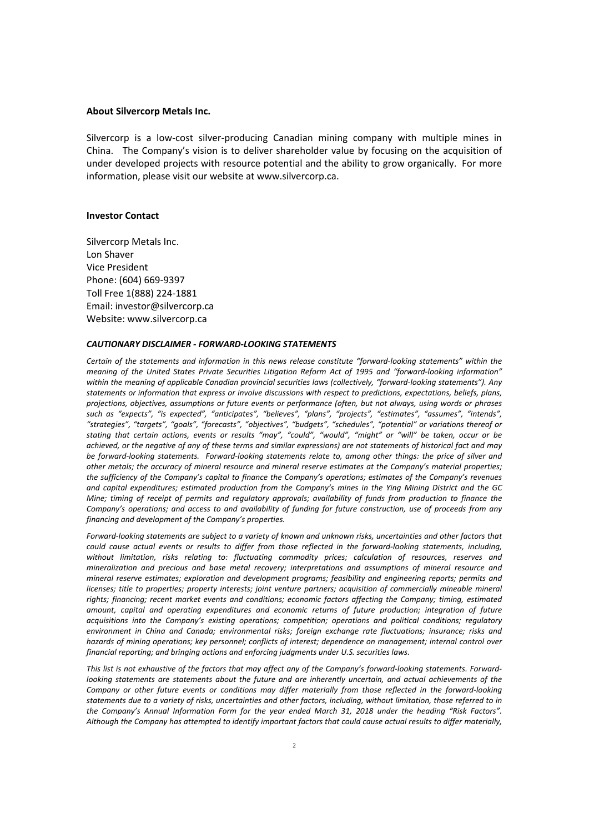#### **About Silvercorp Metals Inc.**

Silvercorp is a low‐cost silver‐producing Canadian mining company with multiple mines in China. The Company's vision is to deliver shareholder value by focusing on the acquisition of under developed projects with resource potential and the ability to grow organically. For more information, please visit our website at www.silvercorp.ca.

### **Investor Contact**

Silvercorp Metals Inc. Lon Shaver Vice President Phone: (604) 669‐9397 Toll Free 1(888) 224‐1881 Email: investor@silvercorp.ca Website: www.silvercorp.ca

#### *CAUTIONARY DISCLAIMER ‐ FORWARD‐LOOKING STATEMENTS*

Certain of the statements and information in this news release constitute "forward-looking statements" within the meaning of the United States Private Securities Litigation Reform Act of 1995 and "forward-looking information" *within the meaning of applicable Canadian provincial securities laws (collectively, "forward‐looking statements"). Any* statements or information that express or involve discussions with respect to predictions, expectations, beliefs, plans, projections, objectives, assumptions or future events or performance (often, but not always, using words or phrases *such as "expects", "is expected", "anticipates", "believes", "plans", "projects", "estimates", "assumes", "intends", "strategies", "targets", "goals", "forecasts", "objectives", "budgets", "schedules", "potential" or variations thereof or* stating that certain actions, events or results "may", "could", "would", "might" or "will" be taken, occur or be achieved, or the negative of any of these terms and similar expressions) are not statements of historical fact and may be forward-looking statements. Forward-looking statements relate to, among other things: the price of silver and other metals; the accuracy of mineral resource and mineral reserve estimates at the Company's material properties; the sufficiency of the Company's capital to finance the Company's operations; estimates of the Company's revenues and capital expenditures; estimated production from the Company's mines in the Ying Mining District and the GC Mine; timing of receipt of permits and regulatory approvals; availability of funds from production to finance the Company's operations; and access to and availability of funding for future construction, use of proceeds from any *financing and development of the Company's properties.*

Forward-looking statements are subject to a variety of known and unknown risks, uncertainties and other factors that could cause actual events or results to differ from those reflected in the forward-looking statements, including, *without limitation, risks relating to: fluctuating commodity prices; calculation of resources, reserves and mineralization and precious and base metal recovery; interpretations and assumptions of mineral resource and mineral reserve estimates; exploration and development programs; feasibility and engineering reports; permits and licenses; title to properties; property interests; joint venture partners; acquisition of commercially mineable mineral rights; financing; recent market events and conditions; economic factors affecting the Company; timing, estimated amount, capital and operating expenditures and economic returns of future production; integration of future acquisitions into the Company's existing operations; competition; operations and political conditions; regulatory environment in China and Canada; environmental risks; foreign exchange rate fluctuations; insurance; risks and hazards of mining operations; key personnel; conflicts of interest; dependence on management; internal control over financial reporting; and bringing actions and enforcing judgments under U.S. securities laws.*

This list is not exhaustive of the factors that may affect any of the Company's forward-looking statements. Forward*looking statements are statements about the future and are inherently uncertain, and actual achievements of the* Company or other future events or conditions may differ materially from those reflected in the forward-looking statements due to a variety of risks, uncertainties and other factors, including, without limitation, those referred to in the Company's Annual Information Form for the year ended March 31, 2018 under the headina "Risk Factors". Although the Company has attempted to identify important factors that could cause actual results to differ materially,